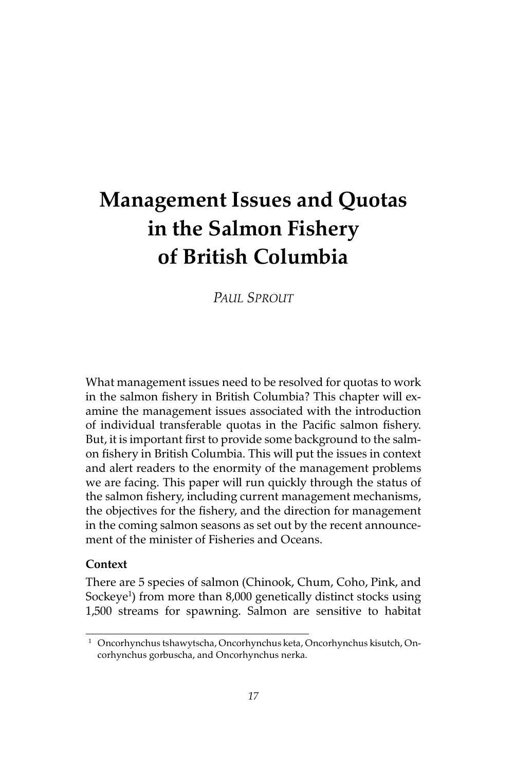# **Management Issues and Quotas in the Salmon Fishery of British Columbia**

*PAUL SPROUT*

What management issues need to be resolved for quotas to work in the salmon fishery in British Columbia? This chapter will examine the management issues associated with the introduction of individual transferable quotas in the Pacific salmon fishery. But, it is important first to provide some background to the salmon fishery in British Columbia. This will put the issues in context and alert readers to the enormity of the management problems we are facing. This paper will run quickly through the status of the salmon fishery, including current management mechanisms, the objectives for the fishery, and the direction for management in the coming salmon seasons as set out by the recent announcement of the minister of Fisheries and Oceans.

### **Context**

There are 5 species of salmon (Chinook, Chum, Coho, Pink, and Sockeye<sup>1</sup>) from more than 8,000 genetically distinct stocks using 1,500 streams for spawning. Salmon are sensitive to habitat

<sup>1</sup> Oncorhynchus tshawytscha, Oncorhynchus keta, Oncorhynchus kisutch, Oncorhynchus gorbuscha, and Oncorhynchus nerka.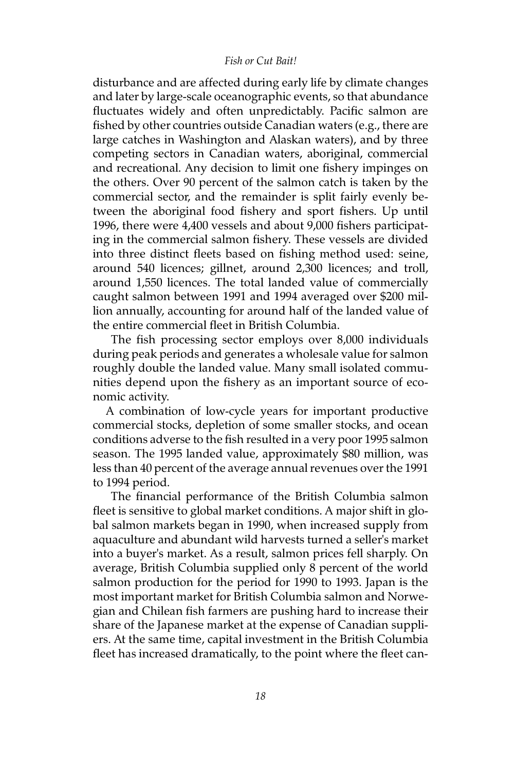#### *Fish or Cut Bait!*

disturbance and are affected during early life by climate changes and later by large-scale oceanographic events, so that abundance fluctuates widely and often unpredictably. Pacific salmon are fished by other countries outside Canadian waters (e.g., there are large catches in Washington and Alaskan waters), and by three competing sectors in Canadian waters, aboriginal, commercial and recreational. Any decision to limit one fishery impinges on the others. Over 90 percent of the salmon catch is taken by the commercial sector, and the remainder is split fairly evenly between the aboriginal food fishery and sport fishers. Up until 1996, there were 4,400 vessels and about 9,000 fishers participating in the commercial salmon fishery. These vessels are divided into three distinct fleets based on fishing method used: seine, around 540 licences; gillnet, around 2,300 licences; and troll, around 1,550 licences. The total landed value of commercially caught salmon between 1991 and 1994 averaged over \$200 million annually, accounting for around half of the landed value of the entire commercial fleet in British Columbia.

 The fish processing sector employs over 8,000 individuals during peak periods and generates a wholesale value for salmon roughly double the landed value. Many small isolated communities depend upon the fishery as an important source of economic activity.

A combination of low-cycle years for important productive commercial stocks, depletion of some smaller stocks, and ocean conditions adverse to the fish resulted in a very poor 1995 salmon season. The 1995 landed value, approximately \$80 million, was less than 40 percent of the average annual revenues over the 1991 to 1994 period.

 The financial performance of the British Columbia salmon fleet is sensitive to global market conditions. A major shift in global salmon markets began in 1990, when increased supply from aquaculture and abundant wild harvests turned a seller's market into a buyer's market. As a result, salmon prices fell sharply. On average, British Columbia supplied only 8 percent of the world salmon production for the period for 1990 to 1993. Japan is the most important market for British Columbia salmon and Norwegian and Chilean fish farmers are pushing hard to increase their share of the Japanese market at the expense of Canadian suppliers. At the same time, capital investment in the British Columbia fleet has increased dramatically, to the point where the fleet can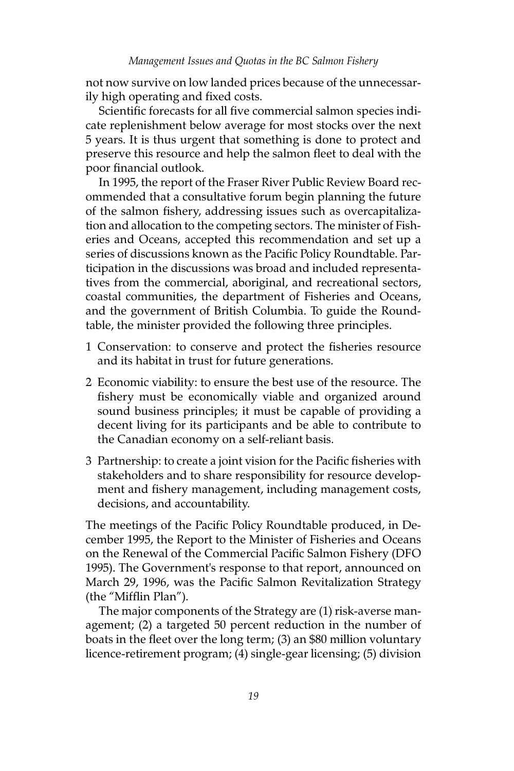not now survive on low landed prices because of the unnecessarily high operating and fixed costs.

Scientific forecasts for all five commercial salmon species indicate replenishment below average for most stocks over the next 5 years. It is thus urgent that something is done to protect and preserve this resource and help the salmon fleet to deal with the poor financial outlook.

In 1995, the report of the Fraser River Public Review Board recommended that a consultative forum begin planning the future of the salmon fishery, addressing issues such as overcapitalization and allocation to the competing sectors. The minister of Fisheries and Oceans, accepted this recommendation and set up a series of discussions known as the Pacific Policy Roundtable. Participation in the discussions was broad and included representatives from the commercial, aboriginal, and recreational sectors, coastal communities, the department of Fisheries and Oceans, and the government of British Columbia. To guide the Roundtable, the minister provided the following three principles.

- 1 Conservation: to conserve and protect the fisheries resource and its habitat in trust for future generations.
- 2 Economic viability: to ensure the best use of the resource. The fishery must be economically viable and organized around sound business principles; it must be capable of providing a decent living for its participants and be able to contribute to the Canadian economy on a self-reliant basis.
- 3 Partnership: to create a joint vision for the Pacific fisheries with stakeholders and to share responsibility for resource development and fishery management, including management costs, decisions, and accountability.

The meetings of the Pacific Policy Roundtable produced, in December 1995, the Report to the Minister of Fisheries and Oceans on the Renewal of the Commercial Pacific Salmon Fishery (DFO 1995). The Government's response to that report, announced on March 29, 1996, was the Pacific Salmon Revitalization Strategy (the "Mifflin Plan").

The major components of the Strategy are (1) risk-averse management; (2) a targeted 50 percent reduction in the number of boats in the fleet over the long term; (3) an \$80 million voluntary licence-retirement program; (4) single-gear licensing; (5) division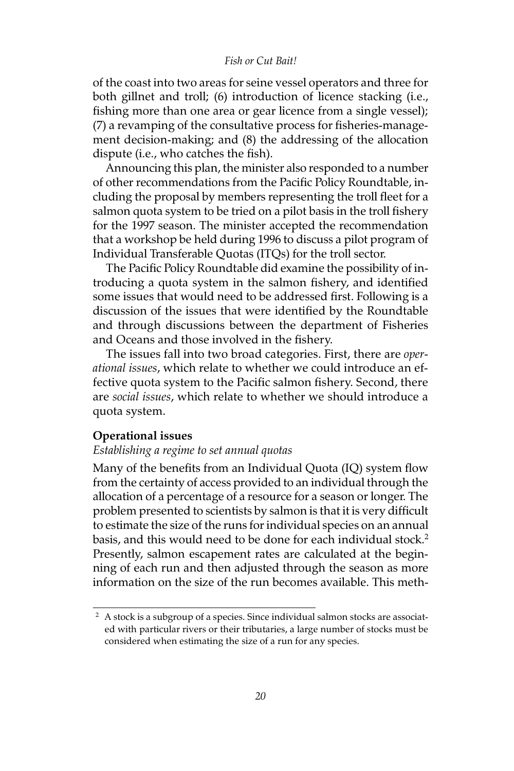#### *Fish or Cut Bait!*

of the coast into two areas for seine vessel operators and three for both gillnet and troll; (6) introduction of licence stacking (i.e., fishing more than one area or gear licence from a single vessel); (7) a revamping of the consultative process for fisheries-management decision-making; and (8) the addressing of the allocation dispute (i.e., who catches the fish).

Announcing this plan, the minister also responded to a number of other recommendations from the Pacific Policy Roundtable, including the proposal by members representing the troll fleet for a salmon quota system to be tried on a pilot basis in the troll fishery for the 1997 season. The minister accepted the recommendation that a workshop be held during 1996 to discuss a pilot program of Individual Transferable Quotas (ITQs) for the troll sector.

The Pacific Policy Roundtable did examine the possibility of introducing a quota system in the salmon fishery, and identified some issues that would need to be addressed first. Following is a discussion of the issues that were identified by the Roundtable and through discussions between the department of Fisheries and Oceans and those involved in the fishery.

The issues fall into two broad categories. First, there are *operational issues*, which relate to whether we could introduce an effective quota system to the Pacific salmon fishery. Second, there are *social issues*, which relate to whether we should introduce a quota system.

### **Operational issues**

## *Establishing a regime to set annual quotas*

Many of the benefits from an Individual Quota (IQ) system flow from the certainty of access provided to an individual through the allocation of a percentage of a resource for a season or longer. The problem presented to scientists by salmon is that it is very difficult to estimate the size of the runs for individual species on an annual basis, and this would need to be done for each individual stock.<sup>2</sup> Presently, salmon escapement rates are calculated at the beginning of each run and then adjusted through the season as more information on the size of the run becomes available. This meth-

<sup>&</sup>lt;sup>2</sup> A stock is a subgroup of a species. Since individual salmon stocks are associated with particular rivers or their tributaries, a large number of stocks must be considered when estimating the size of a run for any species.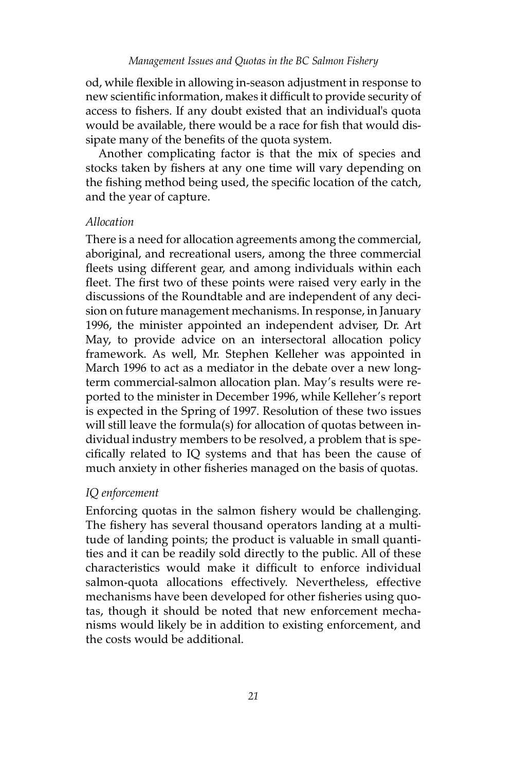od, while flexible in allowing in-season adjustment in response to new scientific information, makes it difficult to provide security of access to fishers. If any doubt existed that an individual's quota would be available, there would be a race for fish that would dissipate many of the benefits of the quota system.

Another complicating factor is that the mix of species and stocks taken by fishers at any one time will vary depending on the fishing method being used, the specific location of the catch, and the year of capture.

### *Allocation*

There is a need for allocation agreements among the commercial, aboriginal, and recreational users, among the three commercial fleets using different gear, and among individuals within each fleet. The first two of these points were raised very early in the discussions of the Roundtable and are independent of any decision on future management mechanisms. In response, in January 1996, the minister appointed an independent adviser, Dr. Art May, to provide advice on an intersectoral allocation policy framework. As well, Mr. Stephen Kelleher was appointed in March 1996 to act as a mediator in the debate over a new longterm commercial-salmon allocation plan. May's results were reported to the minister in December 1996, while Kelleher's report is expected in the Spring of 1997. Resolution of these two issues will still leave the formula(s) for allocation of quotas between individual industry members to be resolved, a problem that is specifically related to IQ systems and that has been the cause of much anxiety in other fisheries managed on the basis of quotas.

## *IQ enforcement*

Enforcing quotas in the salmon fishery would be challenging. The fishery has several thousand operators landing at a multitude of landing points; the product is valuable in small quantities and it can be readily sold directly to the public. All of these characteristics would make it difficult to enforce individual salmon-quota allocations effectively. Nevertheless, effective mechanisms have been developed for other fisheries using quotas, though it should be noted that new enforcement mechanisms would likely be in addition to existing enforcement, and the costs would be additional.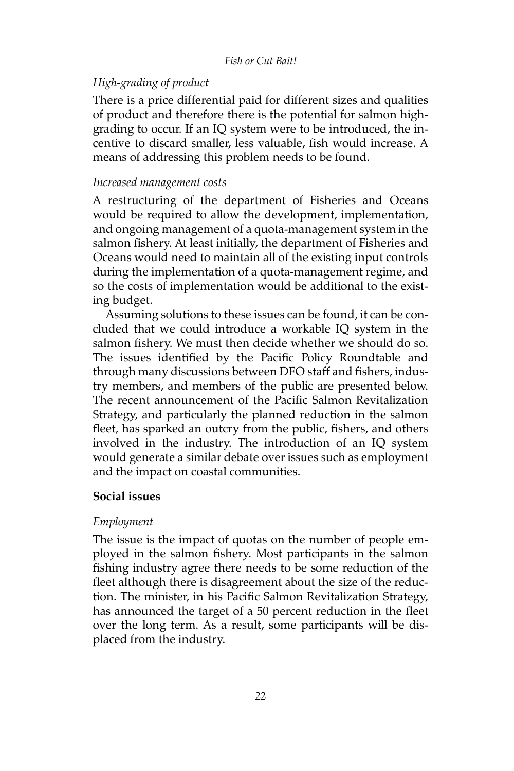#### *Fish or Cut Bait!*

## *High-grading of product*

There is a price differential paid for different sizes and qualities of product and therefore there is the potential for salmon highgrading to occur. If an IQ system were to be introduced, the incentive to discard smaller, less valuable, fish would increase. A means of addressing this problem needs to be found.

## *Increased management costs*

A restructuring of the department of Fisheries and Oceans would be required to allow the development, implementation, and ongoing management of a quota-management system in the salmon fishery. At least initially, the department of Fisheries and Oceans would need to maintain all of the existing input controls during the implementation of a quota-management regime, and so the costs of implementation would be additional to the existing budget.

Assuming solutions to these issues can be found, it can be concluded that we could introduce a workable IQ system in the salmon fishery. We must then decide whether we should do so. The issues identified by the Pacific Policy Roundtable and through many discussions between DFO staff and fishers, industry members, and members of the public are presented below. The recent announcement of the Pacific Salmon Revitalization Strategy, and particularly the planned reduction in the salmon fleet, has sparked an outcry from the public, fishers, and others involved in the industry. The introduction of an IQ system would generate a similar debate over issues such as employment and the impact on coastal communities.

# **Social issues**

## *Employment*

The issue is the impact of quotas on the number of people employed in the salmon fishery. Most participants in the salmon fishing industry agree there needs to be some reduction of the fleet although there is disagreement about the size of the reduction. The minister, in his Pacific Salmon Revitalization Strategy, has announced the target of a 50 percent reduction in the fleet over the long term. As a result, some participants will be displaced from the industry.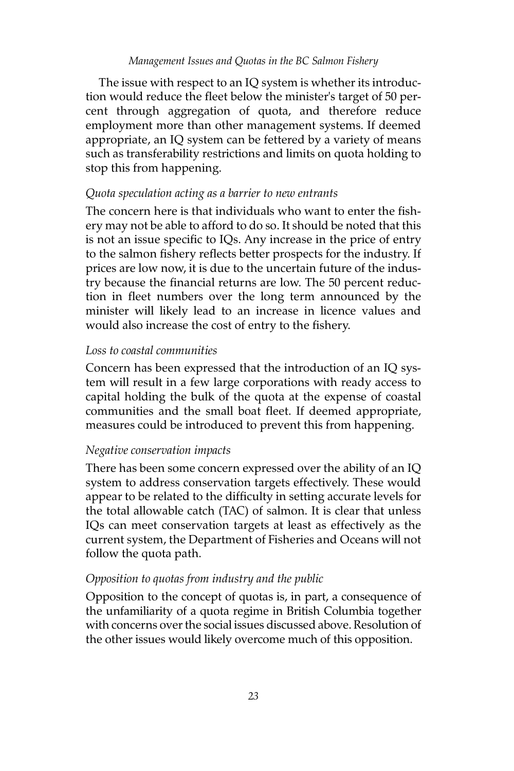The issue with respect to an IQ system is whether its introduction would reduce the fleet below the minister's target of 50 percent through aggregation of quota, and therefore reduce employment more than other management systems. If deemed appropriate, an IQ system can be fettered by a variety of means such as transferability restrictions and limits on quota holding to stop this from happening.

# *Quota speculation acting as a barrier to new entrants*

The concern here is that individuals who want to enter the fishery may not be able to afford to do so. It should be noted that this is not an issue specific to IQs. Any increase in the price of entry to the salmon fishery reflects better prospects for the industry. If prices are low now, it is due to the uncertain future of the industry because the financial returns are low. The 50 percent reduction in fleet numbers over the long term announced by the minister will likely lead to an increase in licence values and would also increase the cost of entry to the fishery.

# *Loss to coastal communities*

Concern has been expressed that the introduction of an IQ system will result in a few large corporations with ready access to capital holding the bulk of the quota at the expense of coastal communities and the small boat fleet. If deemed appropriate, measures could be introduced to prevent this from happening.

# *Negative conservation impacts*

There has been some concern expressed over the ability of an IQ system to address conservation targets effectively. These would appear to be related to the difficulty in setting accurate levels for the total allowable catch (TAC) of salmon. It is clear that unless IQs can meet conservation targets at least as effectively as the current system, the Department of Fisheries and Oceans will not follow the quota path.

# *Opposition to quotas from industry and the public*

Opposition to the concept of quotas is, in part, a consequence of the unfamiliarity of a quota regime in British Columbia together with concerns over the social issues discussed above. Resolution of the other issues would likely overcome much of this opposition.